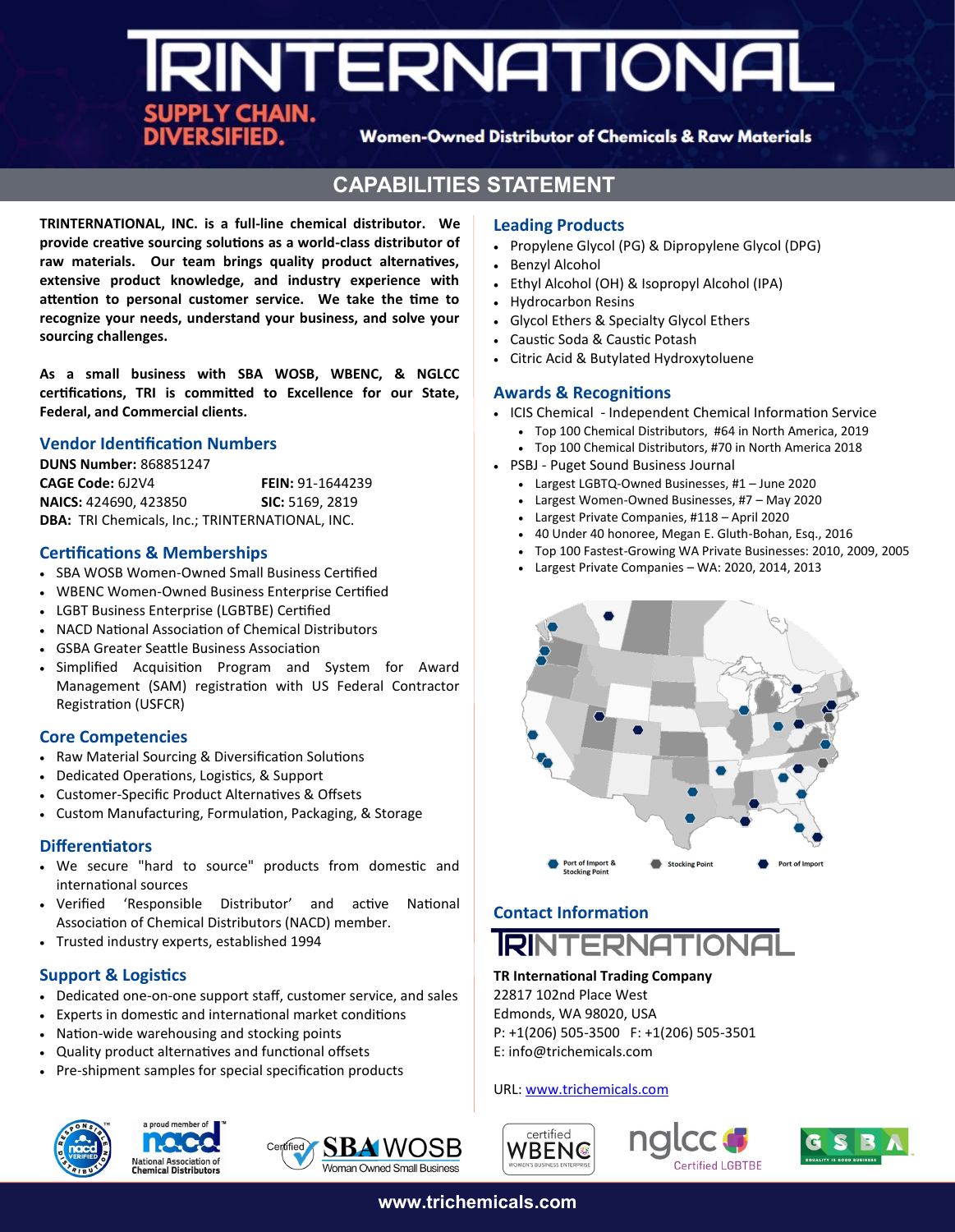## **IRINTERNATIONAl** SUPPLY CHAIN.<br>DIVERSIFIED.

**Women-Owned Distributor of Chemicals & Raw Materials** 

#### **CAPABILITIES STATEMENT**

**TRINTERNATIONAL, INC. is a full-line chemical distributor. We provide creative sourcing solutions as a world-class distributor of raw materials. Our team brings quality product alternatives, extensive product knowledge, and industry experience with attention to personal customer service. We take the time to recognize your needs, understand your business, and solve your sourcing challenges.** 

**As a small business with SBA WOSB, WBENC, & NGLCC certifications, TRI is committed to Excellence for our State, Federal, and Commercial clients.** 

#### **Vendor Identification Numbers**

**DUNS Number:** 868851247 **CAGE Code:** 6J2V4 **FEIN:** 91-1644239 **NAICS:** 424690, 423850 **SIC:** 5169, 2819 **DBA:** TRI Chemicals, Inc.; TRINTERNATIONAL, INC.

#### **Certifications & Memberships**

- SBA WOSB Women-Owned Small Business Certified
- WBENC Women-Owned Business Enterprise Certified
- LGBT Business Enterprise (LGBTBE) Certified
- NACD National Association of Chemical Distributors
- GSBA Greater Seattle Business Association
- Simplified Acquisition Program and System for Award Management (SAM) registration with US Federal Contractor Registration (USFCR)

#### **Core Competencies**

- Raw Material Sourcing & Diversification Solutions
- Dedicated Operations, Logistics, & Support
- Customer-Specific Product Alternatives & Offsets
- Custom Manufacturing, Formulation, Packaging, & Storage

#### **Differentiators**

- We secure "hard to source" products from domestic and international sources
- Verified 'Responsible Distributor' and active National Association of Chemical Distributors (NACD) member.
- Trusted industry experts, established 1994

#### **Support & Logistics**

- Dedicated one-on-one support staff, customer service, and sales
- Experts in domestic and international market conditions
- Nation-wide warehousing and stocking points
- Quality product alternatives and functional offsets
- Pre-shipment samples for special specification products







#### **Leading Products**

- Propylene Glycol (PG) & Dipropylene Glycol (DPG)
- Benzyl Alcohol
- Ethyl Alcohol (OH) & Isopropyl Alcohol (IPA)
- Hydrocarbon Resins
- Glycol Ethers & Specialty Glycol Ethers
- Caustic Soda & Caustic Potash
- Citric Acid & Butylated Hydroxytoluene

#### **Awards & Recognitions**

- ICIS Chemical Independent Chemical Information Service
	- Top 100 Chemical Distributors, #64 in North America, 2019
		- Top 100 Chemical Distributors, #70 in North America 2018
- PSBJ Puget Sound Business Journal
	- Largest LGBTQ-Owned Businesses, #1 June 2020
	- Largest Women-Owned Businesses, #7 May 2020
	- Largest Private Companies, #118 April 2020
	- 40 Under 40 honoree, Megan E. Gluth-Bohan, Esq., 2016
	- Top 100 Fastest-Growing WA Private Businesses: 2010, 2009, 2005
	- Largest Private Companies WA: 2020, 2014, 2013



#### **Contact Information**

### **RINTERNATIONAL**

#### **TR International Trading Company**

22817 102nd Place West Edmonds, WA 98020, USA P: +1(206) 505-3500 F: +1(206) 505-3501 E: info@trichemicals.com

URL: [www.trichemicals.com](http://www.trichemicals.com)







**www.trichemicals.com**